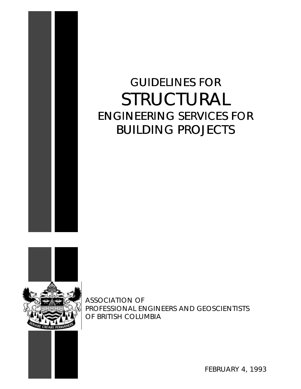

# GUIDELINES FOR STRUCTURAL ENGINEERING SERVICES FOR BUILDING PROJECTS



ASSOCIATION OF PROFESSIONAL ENGINEERS AND GEOSCIENTISTS OF BRITISH COLUMBIA



FEBRUARY 4, 1993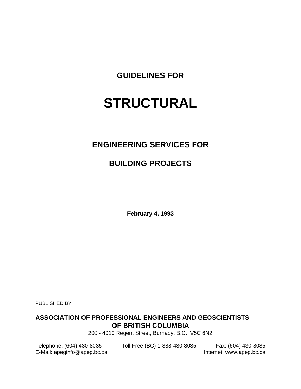**GUIDELINES FOR**

# **STRUCTURAL**

# **ENGINEERING SERVICES FOR**

# **BUILDING PROJECTS**

**February 4, 1993**

PUBLISHED BY:

# **ASSOCIATION OF PROFESSIONAL ENGINEERS AND GEOSCIENTISTS OF BRITISH COLUMBIA**

200 - 4010 Regent Street, Burnaby, B.C. V5C 6N2

E-Mail: apeginfo@apeg.bc.ca Internet: www.apeg.bc.ca

Telephone: (604) 430-8035 Toll Free (BC) 1-888-430-8035 Fax: (604) 430-8085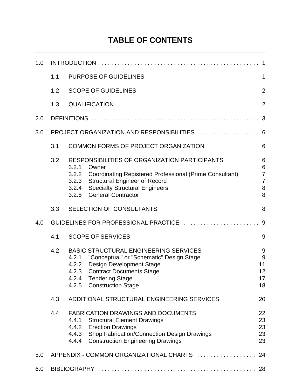# **TABLE OF CONTENTS**

| 1.0 | 1                                             |                                                                                                                                                                                                                                                       |                                                      |  |
|-----|-----------------------------------------------|-------------------------------------------------------------------------------------------------------------------------------------------------------------------------------------------------------------------------------------------------------|------------------------------------------------------|--|
|     | 1.1                                           | <b>PURPOSE OF GUIDELINES</b>                                                                                                                                                                                                                          | 1                                                    |  |
|     | 1.2                                           | <b>SCOPE OF GUIDELINES</b>                                                                                                                                                                                                                            | $\overline{2}$                                       |  |
|     | 1.3                                           | <b>QUALIFICATION</b>                                                                                                                                                                                                                                  | $\overline{2}$                                       |  |
| 2.0 |                                               |                                                                                                                                                                                                                                                       | 3                                                    |  |
| 3.0 | PROJECT ORGANIZATION AND RESPONSIBILITIES  6  |                                                                                                                                                                                                                                                       |                                                      |  |
|     | 3.1                                           | <b>COMMON FORMS OF PROJECT ORGANIZATION</b>                                                                                                                                                                                                           | 6                                                    |  |
|     | 3.2                                           | RESPONSIBILITIES OF ORGANIZATION PARTICIPANTS<br>3.2.1<br>Owner<br>3.2.2 Coordinating Registered Professional (Prime Consultant)<br>3.2.3 Structural Engineer of Record<br>3.2.4 Specialty Structural Engineers<br><b>General Contractor</b><br>3.2.5 | 6<br>6<br>$\overline{7}$<br>$\overline{7}$<br>8<br>8 |  |
|     | 3.3                                           | SELECTION OF CONSULTANTS                                                                                                                                                                                                                              | 8                                                    |  |
| 4.0 | GUIDELINES FOR PROFESSIONAL PRACTICE          |                                                                                                                                                                                                                                                       | 9                                                    |  |
|     | 4.1                                           | <b>SCOPE OF SERVICES</b>                                                                                                                                                                                                                              | 9                                                    |  |
|     | 4.2                                           | <b>BASIC STRUCTURAL ENGINEERING SERVICES</b><br>"Conceptual" or "Schematic" Design Stage<br>4.2.1<br>4.2.2 Design Development Stage<br><b>Contract Documents Stage</b><br>4.2.3<br>4.2.4<br>Tendering Stage<br>4.2.5<br><b>Construction Stage</b>     | 9<br>9<br>11<br>12<br>17<br>18                       |  |
|     | 4.3                                           | ADDITIONAL STRUCTURAL ENGINEERING SERVICES                                                                                                                                                                                                            | 20                                                   |  |
|     | 4.4                                           | <b>FABRICATION DRAWINGS AND DOCUMENTS</b><br>4.4.1<br><b>Structural Element Drawings</b><br>4.4.2 Erection Drawings<br>4.4.3 Shop Fabrication/Connection Design Drawings<br><b>Construction Engineering Drawings</b><br>4.4.4                         | 22<br>23<br>23<br>23<br>23                           |  |
| 5.0 | APPENDIX - COMMON ORGANIZATIONAL CHARTS<br>24 |                                                                                                                                                                                                                                                       |                                                      |  |
| 6.0 |                                               |                                                                                                                                                                                                                                                       |                                                      |  |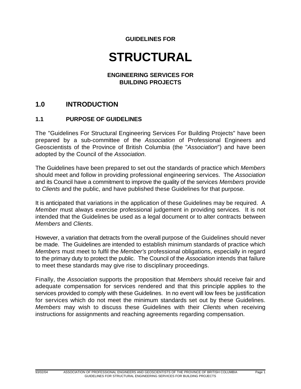# **GUIDELINES FOR**

# **STRUCTURAL**

#### **ENGINEERING SERVICES FOR BUILDING PROJECTS**

# **1.0 INTRODUCTION**

#### **1.1 PURPOSE OF GUIDELINES**

The "Guidelines For Structural Engineering Services For Building Projects" have been prepared by a sub-committee of the *Association* of Professional Engineers and Geoscientists of the Province of British Columbia (the "*Association*") and have been adopted by the Council of the *Association*.

The Guidelines have been prepared to set out the standards of practice which *Members* should meet and follow in providing professional engineering services. The *Association* and its Council have a commitment to improve the quality of the services *Members* provide to *Clients* and the public, and have published these Guidelines for that purpose.

It is anticipated that variations in the application of these Guidelines may be required. A *Member* must always exercise professional judgement in providing services. It is not intended that the Guidelines be used as a legal document or to alter contracts between *Members* and *Clients*.

However, a variation that detracts from the overall purpose of the Guidelines should never be made. The Guidelines are intended to establish minimum standards of practice which *Members* must meet to fulfil the *Member's* professional obligations, especially in regard to the primary duty to protect the public. The Council of the *Association* intends that failure to meet these standards may give rise to disciplinary proceedings.

Finally, the *Association* supports the proposition that *Members* should receive fair and adequate compensation for services rendered and that this principle applies to the services provided to comply with these Guidelines. In no event will low fees be justification for services which do not meet the minimum standards set out by these Guidelines. *Members* may wish to discuss these Guidelines with their *Clients* when receiving instructions for assignments and reaching agreements regarding compensation.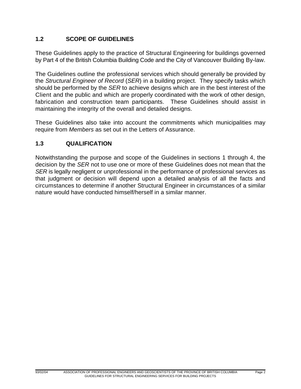# **1.2 SCOPE OF GUIDELINES**

These Guidelines apply to the practice of Structural Engineering for buildings governed by Part 4 of the British Columbia Building Code and the City of Vancouver Building By-law.

The Guidelines outline the professional services which should generally be provided by the *Structural Engineer of Record* (*SER*) in a building project. They specify tasks which should be performed by the *SER* to achieve designs which are in the best interest of the Client and the public and which are properly coordinated with the work of other design, fabrication and construction team participants. These Guidelines should assist in maintaining the integrity of the overall and detailed designs.

These Guidelines also take into account the commitments which municipalities may require from *Members* as set out in the Letters of Assurance.

# **1.3 QUALIFICATION**

Notwithstanding the purpose and scope of the Guidelines in sections 1 through 4, the decision by the *SER* not to use one or more of these Guidelines does not mean that the *SER* is legally negligent or unprofessional in the performance of professional services as that judgment or decision will depend upon a detailed analysis of all the facts and circumstances to determine if another Structural Engineer in circumstances of a similar nature would have conducted himself/herself in a similar manner.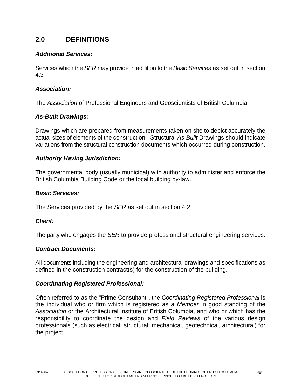# **2.0 DEFINITIONS**

## *Additional Services:*

Services which the *SER* may provide in addition to the *Basic Services* as set out in section 4.3

## *Association:*

The *Association* of Professional Engineers and Geoscientists of British Columbia.

## *As-Built Drawings:*

Drawings which are prepared from measurements taken on site to depict accurately the actual sizes of elements of the construction. Structural *As-Built* Drawings should indicate variations from the structural construction documents which occurred during construction.

## *Authority Having Jurisdiction:*

The governmental body (usually municipal) with authority to administer and enforce the British Columbia Building Code or the local building by-law.

#### *Basic Services:*

The Services provided by the *SER* as set out in section 4.2.

#### *Client:*

The party who engages the *SER* to provide professional structural engineering services.

#### *Contract Documents:*

All documents including the engineering and architectural drawings and specifications as defined in the construction contract(s) for the construction of the building.

#### *Coordinating Registered Professional:*

Often referred to as the "Prime Consultant", the *Coordinating Registered Professional* is the individual who or firm which is registered as a *Member* in good standing of the *Association* or the Architectural Institute of British Columbia, and who or which has the responsibility to coordinate the design and *Field Reviews* of the various design professionals (such as electrical, structural, mechanical, geotechnical, architectural) for the project.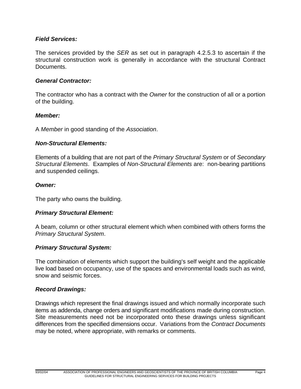## *Field Services:*

The services provided by the *SER* as set out in paragraph 4.2.5.3 to ascertain if the structural construction work is generally in accordance with the structural Contract Documents.

#### *General Contractor:*

The contractor who has a contract with the *Owner* for the construction of all or a portion of the building.

#### *Member:*

A *Member* in good standing of the *Association*.

#### *Non-Structural Elements:*

Elements of a building that are not part of the *Primary Structural System* or of *Secondary Structural Elements*. Examples of *Non-Structural Elements* are: non-bearing partitions and suspended ceilings.

#### *Owner:*

The party who owns the building.

#### *Primary Structural Element:*

A beam, column or other structural element which when combined with others forms the *Primary Structural System*.

#### *Primary Structural System:*

The combination of elements which support the building's self weight and the applicable live load based on occupancy, use of the spaces and environmental loads such as wind, snow and seismic forces.

#### *Record Drawings:*

Drawings which represent the final drawings issued and which normally incorporate such items as addenda, change orders and significant modifications made during construction. Site measurements need not be incorporated onto these drawings unless significant differences from the specified dimensions occur. Variations from the *Contract Documents* may be noted, where appropriate, with remarks or comments.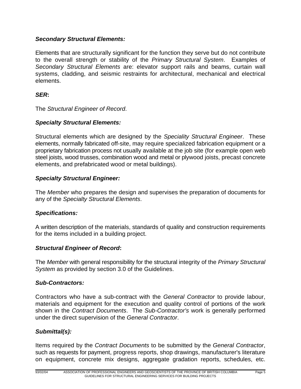# *Secondary Structural Elements:*

Elements that are structurally significant for the function they serve but do not contribute to the overall strength or stability of the *Primary Structural System*. Examples of *Secondary Structural Elements* are: elevator support rails and beams, curtain wall systems, cladding, and seismic restraints for architectural, mechanical and electrical elements.

# *SER***:**

The *Structural Engineer of Record*.

## *Specialty Structural Elements:*

Structural elements which are designed by the *Speciality Structural Engineer*. These elements, normally fabricated off-site, may require specialized fabrication equipment or a proprietary fabrication process not usually available at the job site (for example open web steel joists, wood trusses, combination wood and metal or plywood joists, precast concrete elements, and prefabricated wood or metal buildings).

#### *Specialty Structural Engineer:*

The *Member* who prepares the design and supervises the preparation of documents for any of the *Specialty Structural Elements*.

#### *Specifications:*

A written description of the materials, standards of quality and construction requirements for the items included in a building project.

#### *Structural Engineer of Record***:**

The *Member* with general responsibility for the structural integrity of the *Primary Structural System* as provided by section 3.0 of the Guidelines.

#### *Sub-Contractors:*

Contractors who have a sub-contract with the *General Contractor* to provide labour, materials and equipment for the execution and quality control of portions of the work shown in the *Contract Documents*. The *Sub-Contractor's* work is generally performed under the direct supervision of the *General Contractor*.

# *Submittal(s):*

Items required by the *Contract Documents* to be submitted by the *General Contractor*, such as requests for payment, progress reports, shop drawings, manufacturer's literature on equipment, concrete mix designs, aggregate gradation reports, schedules, etc.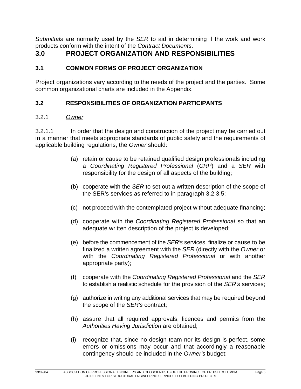*Submittals* are normally used by the *SER* to aid in determining if the work and work products conform with the intent of the *Contract Documents*.

# **3.0 PROJECT ORGANIZATION AND RESPONSIBILITIES**

# **3.1 COMMON FORMS OF PROJECT ORGANIZATION**

Project organizations vary according to the needs of the project and the parties. Some common organizational charts are included in the Appendix.

# **3.2 RESPONSIBILITIES OF ORGANIZATION PARTICIPANTS**

# 3.2.1 *Owner*

3.2.1.1 In order that the design and construction of the project may be carried out in a manner that meets appropriate standards of public safety and the requirements of applicable building regulations, the *Owner* should:

- (a) retain or cause to be retained qualified design professionals including a *Coordinating Registered Professional* (*CRP*) and a *SER* with responsibility for the design of all aspects of the building;
- (b) cooperate with the *SER* to set out a written description of the scope of the SER's services as referred to in paragraph 3.2.3.5;
- (c) not proceed with the contemplated project without adequate financing;
- (d) cooperate with the *Coordinating Registered Professional* so that an adequate written description of the project is developed;
- (e) before the commencement of the *SER's* services, finalize or cause to be finalized a written agreement with the *SER* (directly with the *Owner* or with the *Coordinating Registered Professional* or with another appropriate party);
- (f) cooperate with the *Coordinating Registered Professional* and the *SER* to establish a realistic schedule for the provision of the *SER's* services;
- (g) authorize in writing any additional services that may be required beyond the scope of the *SER's* contract;
- (h) assure that all required approvals, licences and permits from the *Authorities Having Jurisdiction* are obtained;
- (i) recognize that, since no design team nor its design is perfect, some errors or omissions may occur and that accordingly a reasonable contingency should be included in the *Owner's* budget;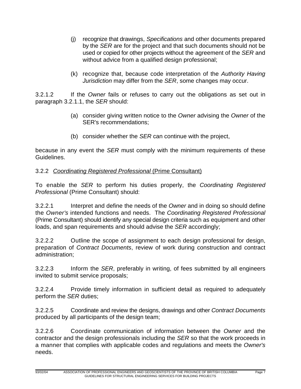- (j) recognize that drawings, *Specifications* and other documents prepared by the *SER* are for the project and that such documents should not be used or copied for other projects without the agreement of the *SER* and without advice from a qualified design professional;
- (k) recognize that, because code interpretation of the *Authority Having Jurisdiction* may differ from the *SER*, some changes may occur.

3.2.1.2 If the *Owner* fails or refuses to carry out the obligations as set out in paragraph 3.2.1.1, the *SER* should:

- (a) consider giving written notice to the *Owner* advising the *Owner* of the SER's recommendations;
- (b) consider whether the *SER* can continue with the project,

because in any event the *SER* must comply with the minimum requirements of these Guidelines.

# 3.2.2 *Coordinating Registered Professional* (Prime Consultant)

To enable the *SER* to perform his duties properly, the *Coordinating Registered Professional* (Prime Consultant) should:

3.2.2.1 Interpret and define the needs of the *Owner* and in doing so should define the *Owner's* intended functions and needs. The *Coordinating Registered Professional* (Prime Consultant) should identify any special design criteria such as equipment and other loads, and span requirements and should advise the *SER* accordingly;

3.2.2.2 Outline the scope of assignment to each design professional for design, preparation of *Contract Documents*, review of work during construction and contract administration;

3.2.2.3 Inform the *SER*, preferably in writing, of fees submitted by all engineers invited to submit service proposals;

3.2.2.4 Provide timely information in sufficient detail as required to adequately perform the *SER* duties;

3.2.2.5 Coordinate and review the designs, drawings and other *Contract Documents* produced by all participants of the design team;

3.2.2.6 Coordinate communication of information between the *Owner* and the contractor and the design professionals including the *SER* so that the work proceeds in a manner that complies with applicable codes and regulations and meets the *Owner's* needs.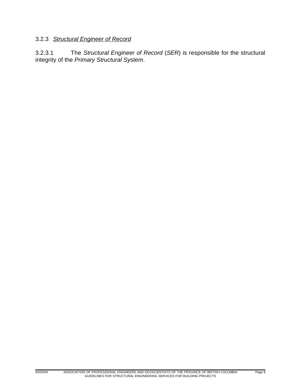# 3.2.3 *Structural Engineer of Record*

3.2.3.1 The *Structural Engineer of Record* (*SER*) is responsible for the structural integrity of the *Primary Structural System*.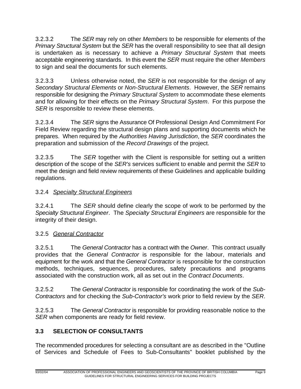3.2.3.2 The *SER* may rely on other *Members* to be responsible for elements of the *Primary Structural System* but the *SER* has the overall responsibility to see that all design is undertaken as is necessary to achieve a *Primary Structural System* that meets acceptable engineering standards. In this event the *SER* must require the other *Members* to sign and seal the documents for such elements.

3.2.3.3 Unless otherwise noted, the *SER* is not responsible for the design of any *Secondary Structural Elements* or *Non-Structural Elements*. However, the *SER* remains responsible for designing the *Primary Structural System* to accommodate these elements and for allowing for their effects on the *Primary Structural System*. For this purpose the *SER* is responsible to review these elements.

3.2.3.4 The *SER* signs the Assurance Of Professional Design And Commitment For Field Review regarding the structural design plans and supporting documents which he prepares. When required by the *Authorities Having Jurisdiction*, the *SER* coordinates the preparation and submission of the *Record Drawings* of the project.

3.2.3.5 The *SER* together with the Client is responsible for setting out a written description of the scope of the *SER's* services sufficient to enable and permit the *SER* to meet the design and field review requirements of these Guidelines and applicable building regulations.

# 3.2.4 *Specialty Structural Engineers*

3.2.4.1 The *SER* should define clearly the scope of work to be performed by the *Specialty Structural Engineer*. The *Specialty Structural Engineers* are responsible for the integrity of their design.

# 3.2.5 *General Contractor*

3.2.5.1 The *General Contractor* has a contract with the *Owner*. This contract usually provides that the *General Contractor* is responsible for the labour, materials and equipment for the work and that the *General Contractor* is responsible for the construction methods, techniques, sequences, procedures, safety precautions and programs associated with the construction work, all as set out in the *Contract Documents*.

3.2.5.2 The *General Contractor* is responsible for coordinating the work of the *Sub-Contractors* and for checking the *Sub-Contractor's* work prior to field review by the *SER*.

3.2.5.3 The *General Contractor* is responsible for providing reasonable notice to the *SER* when components are ready for field review.

# **3.3 SELECTION OF CONSULTANTS**

The recommended procedures for selecting a consultant are as described in the "Outline of Services and Schedule of Fees to Sub-Consultants" booklet published by the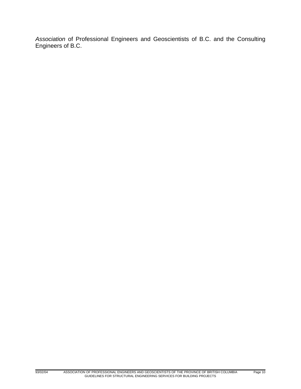*Association* of Professional Engineers and Geoscientists of B.C. and the Consulting Engineers of B.C.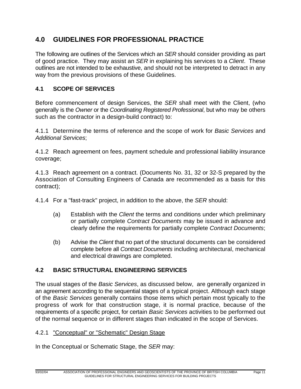# **4.0 GUIDELINES FOR PROFESSIONAL PRACTICE**

The following are outlines of the Services which an *SER* should consider providing as part of good practice. They may assist an *SER* in explaining his services to a *Client*. These outlines are not intended to be exhaustive, and should not be interpreted to detract in any way from the previous provisions of these Guidelines.

# **4.1 SCOPE OF SERVICES**

Before commencement of design Services, the *SER* shall meet with the Client, (who generally is the *Owner* or the *Coordinating Registered Professional*, but who may be others such as the contractor in a design-build contract) to:

4.1.1 Determine the terms of reference and the scope of work for *Basic Services* and *Additional Services*;

4.1.2 Reach agreement on fees, payment schedule and professional liability insurance coverage;

4.1.3 Reach agreement on a contract. (Documents No. 31, 32 or 32-S prepared by the Association of Consulting Engineers of Canada are recommended as a basis for this contract);

4.1.4 For a "fast-track" project, in addition to the above, the *SER* should:

- (a) Establish with the *Client* the terms and conditions under which preliminary or partially complete *Contract Documents* may be issued in advance and clearly define the requirements for partially complete *Contract Documents*;
- (b) Advise the *Client* that no part of the structural documents can be considered complete before all *Contract Documents* including architectural, mechanical and electrical drawings are completed.

# **4.2 BASIC STRUCTURAL ENGINEERING SERVICES**

The usual stages of the *Basic Services*, as discussed below, are generally organized in an agreement according to the sequential stages of a typical project. Although each stage of the *Basic Services* generally contains those items which pertain most typically to the progress of work for that construction stage, it is normal practice, because of the requirements of a specific project, for certain *Basic Services* activities to be performed out of the normal sequence or in different stages than indicated in the scope of Services.

# 4.2.1 "Conceptual" or "Schematic" Design Stage

In the Conceptual or Schematic Stage, the *SER* may: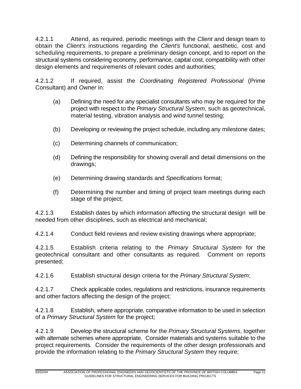4.2.1.1 Attend, as required, periodic meetings with the *Client* and design team to obtain the *Client's* instructions regarding the *Client's* functional, aesthetic, cost and scheduling requirements, to prepare a preliminary design concept, and to report on the structural systems considering economy, performance, capital cost, compatibility with other design elements and requirements of relevant codes and authorities;

4.2.1.2 If required, assist the *Coordinating Registered Professional* (Prime Consultant) and *Owner* in:

- (a) Defining the need for any specialist consultants who may be required for the project with respect to the *Primary Structural System*, such as geotechnical, material testing, vibration analysis and wind tunnel testing;
- (b) Developing or reviewing the project schedule, including any milestone dates;
- (c) Determining channels of communication;
- (d) Defining the responsibility for showing overall and detail dimensions on the drawings;
- (e) Determining drawing standards and *Specifications* format;
- (f) Determining the number and timing of project team meetings during each stage of the project;

4.2.1.3 Establish dates by which information affecting the structural design will be needed from other disciplines, such as electrical and mechanical;

4.2.1.4 Conduct field reviews and review existing drawings where appropriate;

4.2.1.5 Establish criteria relating to the *Primary Structural System* for the geotechnical consultant and other consultants as required. Comment on reports presented;

4.2.1.6 Establish structural design criteria for the *Primary Structural System*;

4.2.1.7 Check applicable codes, regulations and restrictions, insurance requirements and other factors affecting the design of the project;

4.2.1.8 Establish, where appropriate, comparative information to be used in selection of a *Primary Structural System* for the project;

4.2.1.9 Develop the structural scheme for the *Primary Structural Systems*, together with alternate schemes where appropriate. Consider materials and systems suitable to the project requirements. Consider the requirements of the other design professionals and provide the information relating to the *Primary Structural System* they require;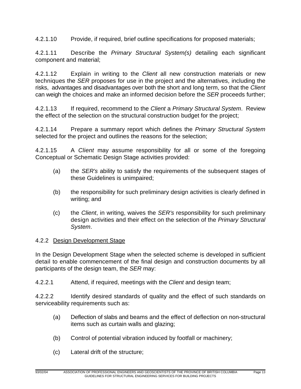4.2.1.10 Provide, if required, brief outline specifications for proposed materials;

4.2.1.11 Describe the *Primary Structural System(s)* detailing each significant component and material;

4.2.1.12 Explain in writing to the *Client* all new construction materials or new techniques the *SER* proposes for use in the project and the alternatives, including the risks, advantages and disadvantages over both the short and long term, so that the *Client* can weigh the choices and make an informed decision before the *SER* proceeds further;

4.2.1.13 If required, recommend to the *Client* a *Primary Structural System*. Review the effect of the selection on the structural construction budget for the project;

4.2.1.14 Prepare a summary report which defines the *Primary Structural System* selected for the project and outlines the reasons for the selection;

4.2.1.15 A *Client* may assume responsibility for all or some of the foregoing Conceptual or Schematic Design Stage activities provided:

- (a) the *SER's* ability to satisfy the requirements of the subsequent stages of these Guidelines is unimpaired;
- (b) the responsibility for such preliminary design activities is clearly defined in writing; and
- (c) the *Client*, in writing, waives the *SER's* responsibility for such preliminary design activities and their effect on the selection of the *Primary Structural System*.

# 4.2.2 Design Development Stage

In the Design Development Stage when the selected scheme is developed in sufficient detail to enable commencement of the final design and construction documents by all participants of the design team, the *SER* may:

4.2.2.1 Attend, if required, meetings with the *Client* and design team;

4.2.2.2 Identify desired standards of quality and the effect of such standards on serviceability requirements such as:

- (a) Deflection of slabs and beams and the effect of deflection on non-structural items such as curtain walls and glazing;
- (b) Control of potential vibration induced by footfall or machinery;
- (c) Lateral drift of the structure;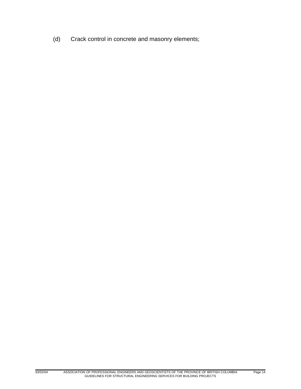(d) Crack control in concrete and masonry elements;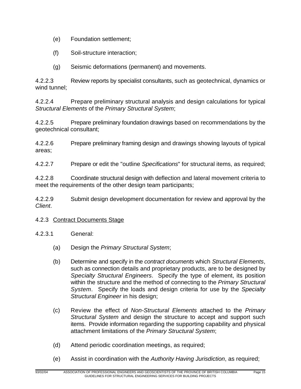- (e) Foundation settlement;
- (f) Soil-structure interaction;
- (g) Seismic deformations (permanent) and movements.

4.2.2.3 Review reports by specialist consultants, such as geotechnical, dynamics or wind tunnel;

4.2.2.4 Prepare preliminary structural analysis and design calculations for typical *Structural Elements* of the *Primary Structural System*;

4.2.2.5 Prepare preliminary foundation drawings based on recommendations by the geotechnical consultant;

4.2.2.6 Prepare preliminary framing design and drawings showing layouts of typical areas;

4.2.2.7 Prepare or edit the "outline *Specifications*" for structural items, as required;

4.2.2.8 Coordinate structural design with deflection and lateral movement criteria to meet the requirements of the other design team participants;

4.2.2.9 Submit design development documentation for review and approval by the *Client*.

#### 4.2.3 Contract Documents Stage

- 4.2.3.1 General:
	- (a) Design the *Primary Structural System*;
	- (b) Determine and specify in the *contract documents* which *Structural Elements*, such as connection details and proprietary products, are to be designed by *Specialty Structural Engineers*. Specify the type of element, its position within the structure and the method of connecting to the *Primary Structural System*. Specify the loads and design criteria for use by the *Specialty Structural Engineer* in his design;
	- (c) Review the effect of *Non-Structural Elements* attached to the *Primary Structural System* and design the structure to accept and support such items. Provide information regarding the supporting capability and physical attachment limitations of the *Primary Structural System*;
	- (d) Attend periodic coordination meetings, as required;
	- (e) Assist in coordination with the *Authority Having Jurisdiction*, as required;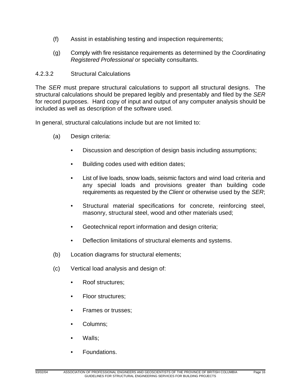- (f) Assist in establishing testing and inspection requirements;
- (g) Comply with fire resistance requirements as determined by the *Coordinating Registered Professional* or specialty consultants.

# 4.2.3.2 Structural Calculations

The *SER* must prepare structural calculations to support all structural designs. The structural calculations should be prepared legibly and presentably and filed by the *SER* for record purposes. Hard copy of input and output of any computer analysis should be included as well as description of the software used.

In general, structural calculations include but are not limited to:

- (a) Design criteria:
	- Discussion and description of design basis including assumptions;
	- Building codes used with edition dates;
	- List of live loads, snow loads, seismic factors and wind load criteria and any special loads and provisions greater than building code requirements as requested by the *Client* or otherwise used by the *SER*;
	- Structural material specifications for concrete, reinforcing steel, masonry, structural steel, wood and other materials used;
	- Geotechnical report information and design criteria;
	- Deflection limitations of structural elements and systems.
- (b) Location diagrams for structural elements;
- (c) Vertical load analysis and design of:
	- Roof structures;
	- Floor structures;
	- Frames or trusses;
	- Columns;
	- Walls;
	- Foundations.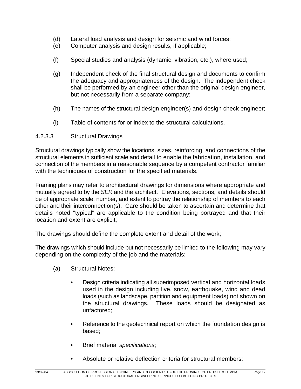- (d) Lateral load analysis and design for seismic and wind forces;
- (e) Computer analysis and design results, if applicable;
- (f) Special studies and analysis (dynamic, vibration, etc.), where used;
- (g) Independent check of the final structural design and documents to confirm the adequacy and appropriateness of the design. The independent check shall be performed by an engineer other than the original design engineer, but not necessarily from a separate company;
- (h) The names of the structural design engineer(s) and design check engineer;
- (i) Table of contents for or index to the structural calculations.

#### 4.2.3.3 Structural Drawings

Structural drawings typically show the locations, sizes, reinforcing, and connections of the structural elements in sufficient scale and detail to enable the fabrication, installation, and connection of the members in a reasonable sequence by a competent contractor familiar with the techniques of construction for the specified materials.

Framing plans may refer to architectural drawings for dimensions where appropriate and mutually agreed to by the *SER* and the architect. Elevations, sections, and details should be of appropriate scale, number, and extent to portray the relationship of members to each other and their interconnection(s). Care should be taken to ascertain and determine that details noted "typical" are applicable to the condition being portrayed and that their location and extent are explicit;

The drawings should define the complete extent and detail of the work;

The drawings which should include but not necessarily be limited to the following may vary depending on the complexity of the job and the materials:

- (a) Structural Notes:
	- Design criteria indicating all superimposed vertical and horizontal loads used in the design including live, snow, earthquake, wind and dead loads (such as landscape, partition and equipment loads) not shown on the structural drawings. These loads should be designated as unfactored;
	- Reference to the geotechnical report on which the foundation design is based;
	- Brief material *specifications*;
	- Absolute or relative deflection criteria for structural members: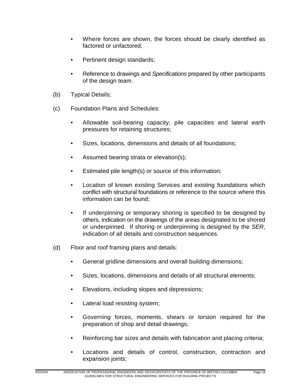- Where forces are shown, the forces should be clearly identified as factored or unfactored;
- Pertinent design standards;
- Reference to drawings and *Specifications* prepared by other participants of the design team.
- (b) Typical Details;
- (c) Foundation Plans and Schedules:
	- Allowable soil-bearing capacity, pile capacities and lateral earth pressures for retaining structures;
	- Sizes, locations, dimensions and details of all foundations;
	- Assumed bearing strata or elevation(s);
	- Estimated pile length(s) or source of this information;
	- Location of known existing Services and existing foundations which conflict with structural foundations or reference to the source where this information can be found;
	- If underpinning or temporary shoring is specified to be designed by others, indication on the drawings of the areas designated to be shored or underpinned. If shoring or underpinning is designed by the *SER*, indication of all details and construction sequences.
- (d) Floor and roof framing plans and details:
	- General gridline dimensions and overall building dimensions;
	- Sizes, locations, dimensions and details of all structural elements;
	- Elevations, including slopes and depressions;
	- Lateral load resisting system;
	- Governing forces, moments, shears or torsion required for the preparation of shop and detail drawings;
	- Reinforcing bar sizes and details with fabrication and placing criteria;
	- Locations and details of control, construction, contraction and expansion joints;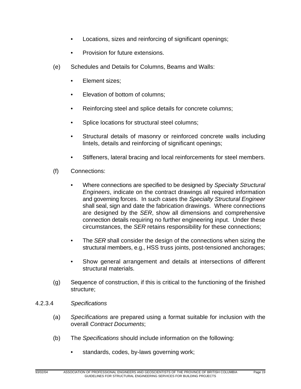- Locations, sizes and reinforcing of significant openings;
- Provision for future extensions.
- (e) Schedules and Details for Columns, Beams and Walls:
	- Element sizes;
	- Elevation of bottom of columns;
	- Reinforcing steel and splice details for concrete columns;
	- Splice locations for structural steel columns;
	- Structural details of masonry or reinforced concrete walls including lintels, details and reinforcing of significant openings;
	- Stiffeners, lateral bracing and local reinforcements for steel members.
- (f) Connections:
	- Where connections are specified to be designed by *Specialty Structural Engineers*, indicate on the contract drawings all required information and governing forces. In such cases the *Specialty Structural Engineer* shall seal, sign and date the fabrication drawings. Where connections are designed by the *SER*, show all dimensions and comprehensive connection details requiring no further engineering input. Under these circumstances, the *SER* retains responsibility for these connections;
	- The *SER* shall consider the design of the connections when sizing the structural members, e.g., HSS truss joints, post-tensioned anchorages;
	- Show general arrangement and details at intersections of different structural materials.
- (g) Sequence of construction, if this is critical to the functioning of the finished structure;
- 4.2.3.4 *Specifications*
	- (a) *Specifications* are prepared using a format suitable for inclusion with the overall *Contract Documents*;
	- (b) The *Specifications* should include information on the following:
		- standards, codes, by-laws governing work;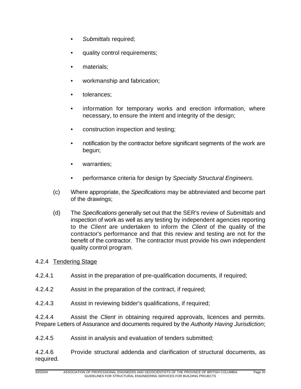- *Submittals* required;
- quality control requirements;
- materials;
- workmanship and fabrication;
- tolerances;
- information for temporary works and erection information, where necessary, to ensure the intent and integrity of the design;
- construction inspection and testing;
- notification by the contractor before significant segments of the work are begun;
- warranties;
- performance criteria for design by *Specialty Structural Engineers*.
- (c) Where appropriate, the *Specifications* may be abbreviated and become part of the drawings;
- (d) The *Specifications* generally set out that the SER's review of *Submittals* and inspection of work as well as any testing by independent agencies reporting to the *Client* are undertaken to inform the *Client* of the quality of the contractor's performance and that this review and testing are not for the benefit of the contractor. The contractor must provide his own independent quality control program.

# 4.2.4 Tendering Stage

- 4.2.4.1 Assist in the preparation of pre-qualification documents, if required;
- 4.2.4.2 Assist in the preparation of the contract, if required;
- 4.2.4.3 Assist in reviewing bidder's qualifications, if required;

4.2.4.4 Assist the *Client* in obtaining required approvals, licences and permits. Prepare Letters of Assurance and documents required by the *Authority Having Jurisdiction*;

4.2.4.5 Assist in analysis and evaluation of tenders submitted;

4.2.4.6 Provide structural addenda and clarification of structural documents, as required.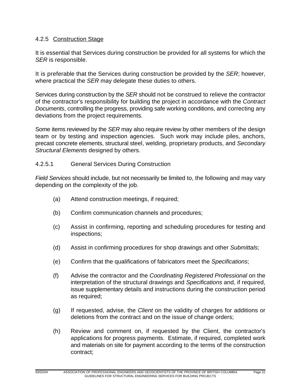## 4.2.5 Construction Stage

It is essential that Services during construction be provided for all systems for which the *SER* is responsible.

It is preferable that the Services during construction be provided by the *SER*; however, where practical the *SER* may delegate these duties to others.

Services during construction by the *SER* should not be construed to relieve the contractor of the contractor's responsibility for building the project in accordance with the *Contract Documents*, controlling the progress, providing safe working conditions, and correcting any deviations from the project requirements.

Some items reviewed by the *SER* may also require review by other members of the design team or by testing and inspection agencies. Such work may include piles, anchors, precast concrete elements, structural steel, welding, proprietary products, and *Secondary Structural Elements* designed by others.

## 4.2.5.1 General Services During Construction

*Field Services* should include, but not necessarily be limited to, the following and may vary depending on the complexity of the job.

- (a) Attend construction meetings, if required;
- (b) Confirm communication channels and procedures;
- (c) Assist in confirming, reporting and scheduling procedures for testing and inspections;
- (d) Assist in confirming procedures for shop drawings and other *Submittals*;
- (e) Confirm that the qualifications of fabricators meet the *Specifications*;
- (f) Advise the contractor and the *Coordinating Registered Professional* on the interpretation of the structural drawings and *Specifications* and, if required, issue supplementary details and instructions during the construction period as required;
- (g) If requested, advise, the *Client* on the validity of charges for additions or deletions from the contract and on the issue of change orders;
- (h) Review and comment on, if requested by the Client, the contractor's applications for progress payments. Estimate, if required, completed work and materials on site for payment according to the terms of the construction contract;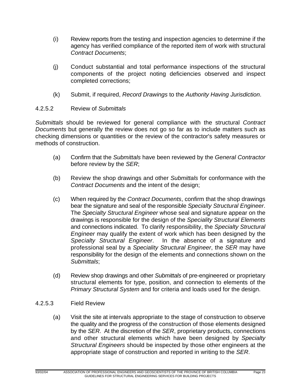- (i) Review reports from the testing and inspection agencies to determine if the agency has verified compliance of the reported item of work with structural *Contract Documents*;
- (j) Conduct substantial and total performance inspections of the structural components of the project noting deficiencies observed and inspect completed corrections;
- (k) Submit, if required, *Record Drawings* to the *Authority Having Jurisdiction*.

# 4.2.5.2 Review of *Submittals*

*Submittals* should be reviewed for general compliance with the structural *Contract Documents* but generally the review does not go so far as to include matters such as checking dimensions or quantities or the review of the contractor's safety measures or methods of construction.

- (a) Confirm that the *Submittals* have been reviewed by the *General Contractor* before review by the *SER*;
- (b) Review the shop drawings and other *Submittals* for conformance with the *Contract Documents* and the intent of the design;
- (c) When required by the *Contract Documents*, confirm that the shop drawings bear the signature and seal of the responsible *Specialty Structural Engineer*. The *Specialty Structural Engineer* whose seal and signature appear on the drawings is responsible for the design of the *Speciality Structural Elements* and connections indicated. To clarify responsibility, the *Specialty Structural Engineer* may qualify the extent of work which has been designed by the *Specialty Structural Engineer*. In the absence of a signature and professional seal by a *Speciality Structural Engineer*, the *SER* may have responsibility for the design of the elements and connections shown on the *Submittals*;
- (d) Review shop drawings and other *Submittals* of pre-engineered or proprietary structural elements for type, position, and connection to elements of the *Primary Structural System* and for criteria and loads used for the design.
- 4.2.5.3 Field Review
	- (a) Visit the site at intervals appropriate to the stage of construction to observe the quality and the progress of the construction of those elements designed by the *SER*. At the discretion of the *SER*, proprietary products, connections and other structural elements which have been designed by *Specialty Structural Engineers* should be inspected by those other engineers at the appropriate stage of construction and reported in writing to the *SER*.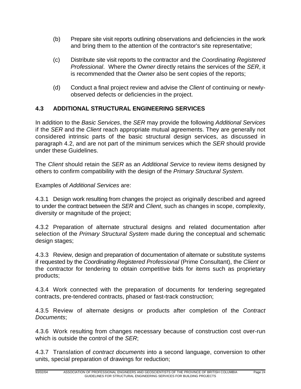- (b) Prepare site visit reports outlining observations and deficiencies in the work and bring them to the attention of the contractor's site representative;
- (c) Distribute site visit reports to the contractor and the *Coordinating Registered Professional*. Where the *Owner* directly retains the services of the *SER*, it is recommended that the *Owner* also be sent copies of the reports;
- (d) Conduct a final project review and advise the *Client* of continuing or newlyobserved defects or deficiencies in the project.

# **4.3 ADDITIONAL STRUCTURAL ENGINEERING SERVICES**

In addition to the *Basic Services*, the *SER* may provide the following *Additional Services* if the *SER* and the *Client* reach appropriate mutual agreements. They are generally not considered intrinsic parts of the basic structural design services, as discussed in paragraph 4.2, and are not part of the minimum services which the *SER* should provide under these Guidelines.

The *Client* should retain the *SER* as an *Additional Service* to review items designed by others to confirm compatibility with the design of the *Primary Structural System*.

Examples of *Additional Services* are:

4.3.1 Design work resulting from changes the project as originally described and agreed to under the contract between the *SER* and *Client*, such as changes in scope, complexity, diversity or magnitude of the project;

4.3.2 Preparation of alternate structural designs and related documentation after selection of the *Primary Structural System* made during the conceptual and schematic design stages;

4.3.3 Review, design and preparation of documentation of alternate or substitute systems if requested by the *Coordinating Registered Professional* (Prime Consultant), the *Client* or the contractor for tendering to obtain competitive bids for items such as proprietary products;

4.3.4 Work connected with the preparation of documents for tendering segregated contracts, pre-tendered contracts, phased or fast-track construction;

4.3.5 Review of alternate designs or products after completion of the *Contract Documents*;

4.3.6 Work resulting from changes necessary because of construction cost over-run which is outside the control of the *SER*;

4.3.7 Translation of *contract documents* into a second language, conversion to other units, special preparation of drawings for reduction;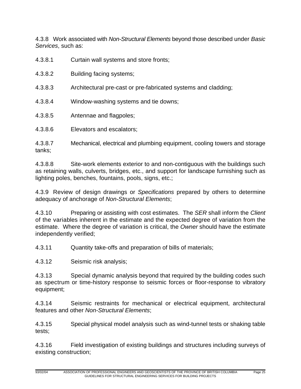4.3.8 Work associated with *Non-Structural Elements* beyond those described under *Basic Services*, such as:

- 4.3.8.1 Curtain wall systems and store fronts;
- 4.3.8.2 Building facing systems;
- 4.3.8.3 Architectural pre-cast or pre-fabricated systems and cladding;
- 4.3.8.4 Window-washing systems and tie downs;
- 4.3.8.5 Antennae and flagpoles;
- 4.3.8.6 Elevators and escalators;

4.3.8.7 Mechanical, electrical and plumbing equipment, cooling towers and storage tanks;

4.3.8.8 Site-work elements exterior to and non-contiguous with the buildings such as retaining walls, culverts, bridges, etc., and support for landscape furnishing such as lighting poles, benches, fountains, pools, signs, etc.;

4.3.9 Review of design drawings or *Specifications* prepared by others to determine adequacy of anchorage of *Non-Structural Elements*;

4.3.10 Preparing or assisting with cost estimates. The *SER* shall inform the *Client* of the variables inherent in the estimate and the expected degree of variation from the estimate. Where the degree of variation is critical, the *Owner* should have the estimate independently verified;

4.3.11 Quantity take-offs and preparation of bills of materials;

4.3.12 Seismic risk analysis;

4.3.13 Special dynamic analysis beyond that required by the building codes such as spectrum or time-history response to seismic forces or floor-response to vibratory equipment;

4.3.14 Seismic restraints for mechanical or electrical equipment, architectural features and other *Non-Structural Elements*;

4.3.15 Special physical model analysis such as wind-tunnel tests or shaking table tests;

4.3.16 Field investigation of existing buildings and structures including surveys of existing construction;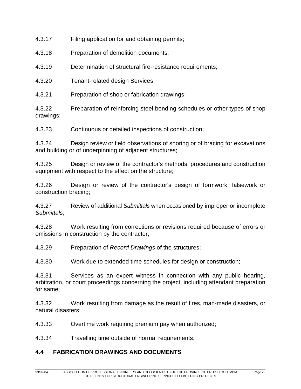4.3.17 Filing application for and obtaining permits;

4.3.18 Preparation of demolition documents;

4.3.19 Determination of structural fire-resistance requirements;

4.3.20 Tenant-related design Services;

4.3.21 Preparation of shop or fabrication drawings;

4.3.22 Preparation of reinforcing steel bending schedules or other types of shop drawings;

4.3.23 Continuous or detailed inspections of construction;

4.3.24 Design review or field observations of shoring or of bracing for excavations and building or of underpinning of adjacent structures;

4.3.25 Design or review of the contractor's methods, procedures and construction equipment with respect to the effect on the structure;

4.3.26 Design or review of the contractor's design of formwork, falsework or construction bracing;

4.3.27 Review of additional *Submittals* when occasioned by improper or incomplete *Submittals*;

4.3.28 Work resulting from corrections or revisions required because of errors or omissions in construction by the contractor;

4.3.29 Preparation of *Record Drawings* of the structures;

4.3.30 Work due to extended time schedules for design or construction;

4.3.31 Services as an expert witness in connection with any public hearing, arbitration, or court proceedings concerning the project, including attendant preparation for same;

4.3.32 Work resulting from damage as the result of fires, man-made disasters, or natural disasters;

4.3.33 Overtime work requiring premium pay when authorized;

4.3.34 Travelling time outside of normal requirements.

# **4.4 FABRICATION DRAWINGS AND DOCUMENTS**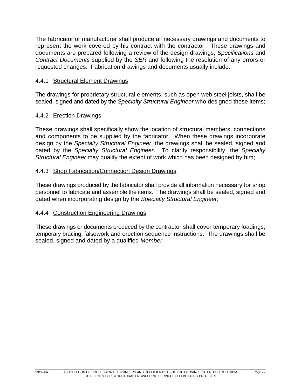The fabricator or manufacturer shall produce all necessary drawings and documents to represent the work covered by his contract with the contractor. These drawings and documents are prepared following a review of the design drawings, *Specifications* and *Contract Documents* supplied by the *SER* and following the resolution of any errors or requested changes. Fabrication drawings and documents usually include:

# 4.4.1 Structural Element Drawings

The drawings for proprietary structural elements, such as open web steel joists, shall be sealed, signed and dated by the *Specialty Structural Engineer* who designed these items;

## 4.4.2 Erection Drawings

These drawings shall specifically show the location of structural members, connections and components to be supplied by the fabricator. When these drawings incorporate design by the *Specialty Structural Engineer*, the drawings shall be sealed, signed and dated by the *Specialty Structural Engineer*. To clarify responsibility, the *Specialty Structural Engineer* may qualify the extent of work which has been designed by him;

## 4.4.3 Shop Fabrication/Connection Design Drawings

These drawings produced by the fabricator shall provide all information necessary for shop personnel to fabricate and assemble the items. The drawings shall be sealed, signed and dated when incorporating design by the *Specialty Structural Engineer*;

# 4.4.4 Construction Engineering Drawings

These drawings or documents produced by the contractor shall cover temporary loadings, temporary bracing, falsework and erection sequence instructions. The drawings shall be sealed, signed and dated by a qualified *Member*.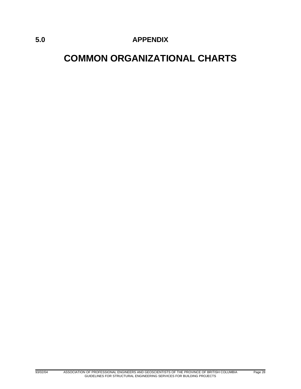# **5.0 APPENDIX**

# **COMMON ORGANIZATIONAL CHARTS**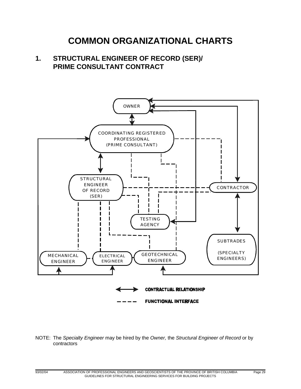# **COMMON ORGANIZATIONAL CHARTS**

# **1. STRUCTURAL ENGINEER OF RECORD (SER)/ PRIME CONSULTANT CONTRACT**



#### NOTE: The *Specialty Engineer* may be hired by the *Owner,* the *Structural Engineer of Record* or by contractors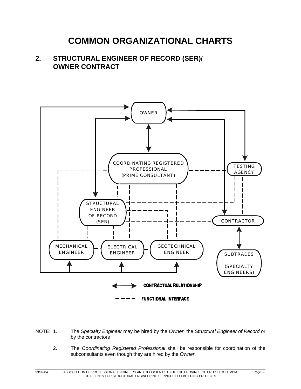# **COMMON ORGANIZATIONAL CHARTS**

# **2. STRUCTURAL ENGINEER OF RECORD (SER)/ OWNER CONTRACT**



NOTE: 1. The *Specialty Engineer* may be hired by the *Owner,* the *Structural Engineer of Record* or by the contractors

2. The *Coordinating Registered Professional* shall be responsible for coordination of the subconsultants even though they are hired by the *Owner*.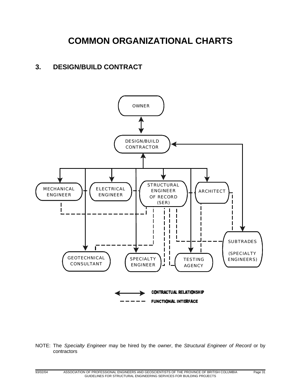# **COMMON ORGANIZATIONAL CHARTS**

# **3. DESIGN/BUILD CONTRACT**



NOTE: The *Specialty Engineer* may be hired by the *owner*, the *Structural Engineer of Record* or by contractors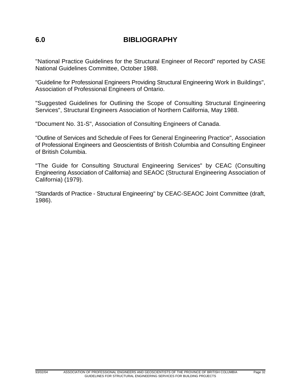# **6.0 BIBLIOGRAPHY**

"National Practice Guidelines for the Structural Engineer of Record" reported by CASE National Guidelines Committee, October 1988.

"Guideline for Professional Engineers Providing Structural Engineering Work in Buildings", Association of Professional Engineers of Ontario.

"Suggested Guidelines for Outlining the Scope of Consulting Structural Engineering Services", Structural Engineers Association of Northern California, May 1988.

"Document No. 31-S", Association of Consulting Engineers of Canada.

"Outline of Services and Schedule of Fees for General Engineering Practice", Association of Professional Engineers and Geoscientists of British Columbia and Consulting Engineer of British Columbia.

"The Guide for Consulting Structural Engineering Services" by CEAC (Consulting Engineering Association of California) and SEAOC (Structural Engineering Association of California) (1979).

"Standards of Practice - Structural Engineering" by CEAC-SEAOC Joint Committee (draft, 1986).